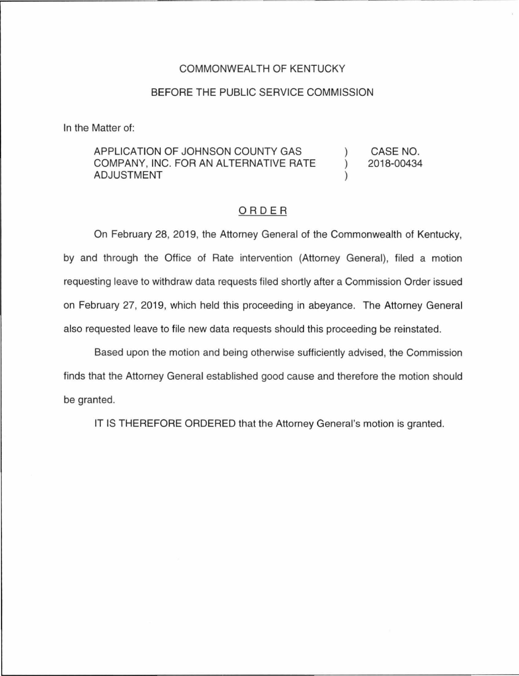## COMMONWEALTH OF KENTUCKY

## BEFORE THE PUBLIC SERVICE COMMISSION

In the Matter of:

## APPLICATION OF JOHNSON COUNTY GAS COMPANY, INC. FOR AN ALTERNATIVE RATE ADJUSTMENT ) ) ) CASE NO. 2018-00434

## ORDER

On February 28, 2019, the Attorney General of the Commonwealth of Kentucky, by and through the Office of Rate intervention (Attorney General), filed a motion requesting leave to withdraw data requests filed shortly after a Commission Order issued on February 27, 2019, which held this proceeding in abeyance. The Attorney General also requested leave to file new data requests should this proceeding be reinstated.

Based upon the motion and being otherwise sufficiently advised, the Commission finds that the Attorney General established good cause and therefore the motion should be granted.

IT IS THEREFORE ORDERED that the Attorney General's motion is granted.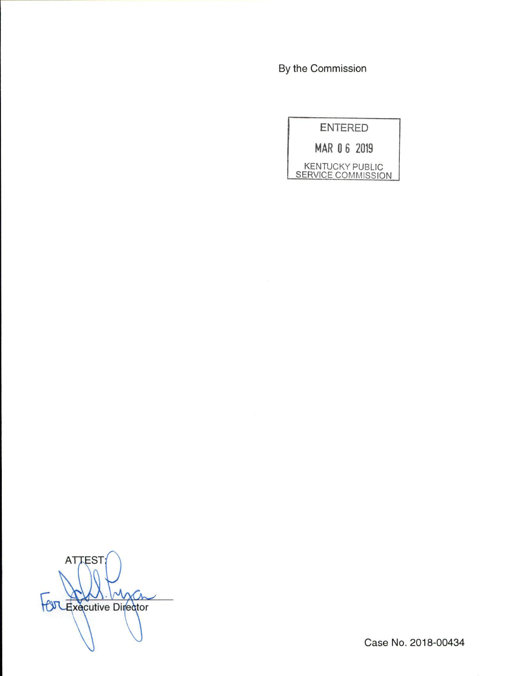By the Commission



ATTEST;  $\chi$ **OT Executive Director** 

Case No. 2018-00434